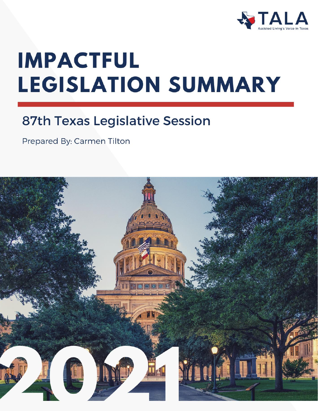

# **IMPACTFUL LEGISLATION SUMMARY**

### **87th Texas Legislative Session**

Prepared By: Carmen Tilton

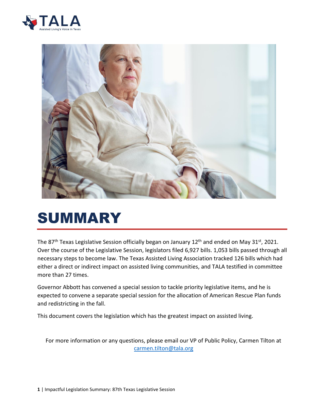



# SUMMARY

The 87<sup>th</sup> Texas Legislative Session officially began on January 12<sup>th</sup> and ended on May 31st, 2021. Over the course of the Legislative Session, legislators filed 6,927 bills. 1,053 bills passed through all necessary steps to become law. The Texas Assisted Living Association tracked 126 bills which had either a direct or indirect impact on assisted living communities, and TALA testified in committee more than 27 times.

Governor Abbott has convened a special session to tackle priority legislative items, and he is expected to convene a separate special session for the allocation of American Rescue Plan funds and redistricting in the fall.

This document covers the legislation which has the greatest impact on assisted living.

For more information or any questions, please email our VP of Public Policy, Carmen Tilton at [carmen.tilton@tala.org](mailto:carmen.tilton@tala.org)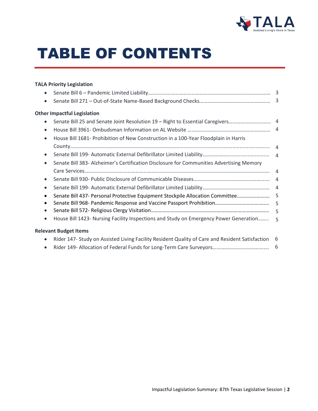

# TABLE OF CONTENTS

#### **TALA Priority Legislation**

| $\bullet$                                                                                                    | 3              |
|--------------------------------------------------------------------------------------------------------------|----------------|
| $\bullet$                                                                                                    | 3              |
| <b>Other Impactful Legislation</b>                                                                           |                |
| $\bullet$                                                                                                    |                |
| $\bullet$                                                                                                    |                |
| House Bill 1681- Prohibition of New Construction in a 100-Year Floodplain in Harris<br>$\bullet$             |                |
|                                                                                                              |                |
| $\bullet$                                                                                                    |                |
| Senate Bill 383- Alzheimer's Certification Disclosure for Communities Advertising Memory<br>$\bullet$        |                |
|                                                                                                              |                |
| $\bullet$                                                                                                    |                |
| $\bullet$                                                                                                    | $\overline{4}$ |
| $\bullet$                                                                                                    |                |
| $\bullet$                                                                                                    | 5              |
| $\bullet$                                                                                                    | 5              |
| House Bill 1423- Nursing Facility Inspections and Study on Emergency Power Generation<br>$\bullet$           | 5              |
| <b>Relevant Budget Items</b>                                                                                 |                |
| Rider 147- Study on Assisted Living Facility Resident Quality of Care and Resident Satisfaction<br>$\bullet$ | - 6            |
|                                                                                                              |                |

• Rider 149- Allocation of Federal Funds for Long-Term Care Surveyors……………………………………. 6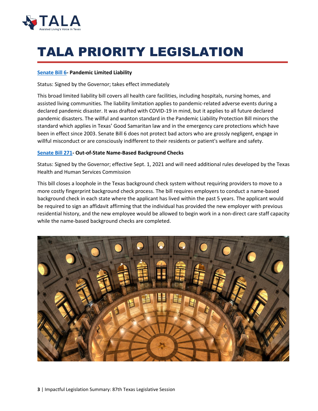

# TALA PRIORITY LEGISLATION

#### **[Senate Bill 6-](https://capitol.texas.gov/BillLookup/History.aspx?LegSess=87R&Bill=SB6) Pandemic Limited Liability**

Status: Signed by the Governor; takes effect immediately

This broad limited liability bill covers all health care facilities, including hospitals, nursing homes, and assisted living communities. The liability limitation applies to pandemic-related adverse events during a declared pandemic disaster. It was drafted with COVID-19 in mind, but it applies to all future declared pandemic disasters. The willful and wanton standard in the Pandemic Liability Protection Bill minors the standard which applies in Texas' Good Samaritan law and in the emergency care protections which have been in effect since 2003. Senate Bill 6 does not protect bad actors who are grossly negligent, engage in willful misconduct or are consciously indifferent to their residents or patient's welfare and safety.

#### **[Senate Bill 271-](https://capitol.texas.gov/BillLookup/History.aspx?LegSess=87R&Bill=SB271) Out-of-State Name-Based Background Checks**

Status: Signed by the Governor; effective Sept. 1, 2021 and will need additional rules developed by the Texas Health and Human Services Commission

This bill closes a loophole in the Texas background check system without requiring providers to move to a more costly fingerprint background check process. The bill requires employers to conduct a name-based background check in each state where the applicant has lived within the past 5 years. The applicant would be required to sign an affidavit affirming that the individual has provided the new employer with previous residential history, and the new employee would be allowed to begin work in a non-direct care staff capacity while the name-based background checks are completed.

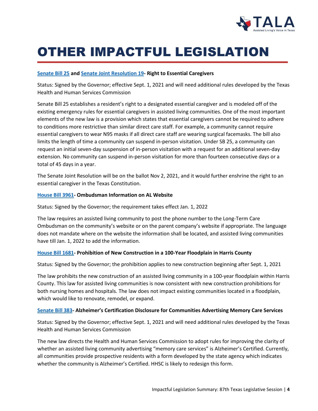

## OTHER IMPACTFUL LEGISLATION

#### **[Senate Bill 25](https://capitol.texas.gov/BillLookup/History.aspx?LegSess=87R&Bill=SB25) and [Senate Joint Resolution 19-](https://capitol.texas.gov/BillLookup/History.aspx?LegSess=87R&Bill=SJR19) Right to Essential Caregivers**

Status: Signed by the Governor; effective Sept. 1, 2021 and will need additional rules developed by the Texas Health and Human Services Commission

Senate Bill 25 establishes a resident's right to a designated essential caregiver and is modeled off of the existing emergency rules for essential caregivers in assisted living communities. One of the most important elements of the new law is a provision which states that essential caregivers cannot be required to adhere to conditions more restrictive than similar direct care staff. For example, a community cannot require essential caregivers to wear N95 masks if all direct care staff are wearing surgical facemasks. The bill also limits the length of time a community can suspend in-person visitation. Under SB 25, a community can request an initial seven-day suspension of in-person visitation with a request for an additional seven-day extension. No community can suspend in-person visitation for more than fourteen consecutive days or a total of 45 days in a year.

The Senate Joint Resolution will be on the ballot Nov 2, 2021, and it would further enshrine the right to an essential caregiver in the Texas Constitution.

#### **[House](https://capitol.texas.gov/BillLookup/History.aspx?LegSess=87R&Bill=HB3961) Bill 3961- Ombudsman Information on AL Website**

Status: Signed by the Governor; the requirement takes effect Jan. 1, 2022

The law requires an assisted living community to post the phone number to the Long-Term Care Ombudsman on the community's website or on the parent company's website if appropriate. The language does not mandate where on the website the information shall be located, and assisted living communities have till Jan. 1, 2022 to add the information.

#### **[House Bill](https://capitol.texas.gov/BillLookup/History.aspx?LegSess=87R&Bill=HB1681) 1681- Prohibition of New Construction in a 100-Year Floodplain in Harris County**

Status: Signed by the Governor; the prohibition applies to new construction beginning after Sept. 1, 2021

The law prohibits the new construction of an assisted living community in a 100-year floodplain within Harris County. This law for assisted living communities is now consistent with new construction prohibitions for both nursing homes and hospitals. The law does not impact existing communities located in a floodplain, which would like to renovate, remodel, or expand.

#### **[Senate Bill](https://capitol.texas.gov/BillLookup/History.aspx?LegSess=87R&Bill=SB383) 383- Alzheimer's Certification Disclosure for Communities Advertising Memory Care Services**

Status: Signed by the Governor; effective Sept. 1, 2021 and will need additional rules developed by the Texas Health and Human Services Commission

The new law directs the Health and Human Services Commission to adopt rules for improving the clarity of whether an assisted living community advertising "memory care services" is Alzheimer's Certified. Currently, all communities provide prospective residents with a form developed by the state agency which indicates whether the community is Alzheimer's Certified. HHSC is likely to redesign this form.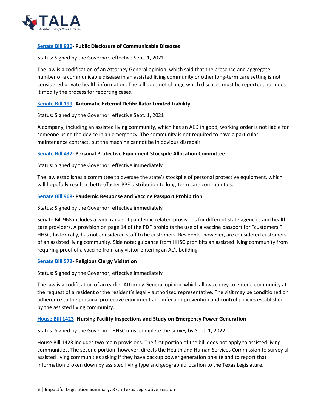

#### **[Senate Bill](https://capitol.texas.gov/BillLookup/History.aspx?LegSess=87R&Bill=SB930) 930- Public Disclosure of Communicable Diseases**

Status: Signed by the Governor; effective Sept. 1, 2021

The law is a codification of an Attorney General opinion, which said that the presence and aggregate number of a communicable disease in an assisted living community or other long-term care setting is not considered private health information. The bill does not change which diseases must be reported, nor does it modify the process for reporting cases.

#### **[Senate Bill](https://capitol.texas.gov/BillLookup/History.aspx?LegSess=87R&Bill=SB199) 199- Automatic External Defibrillator Limited Liability**

Status: Signed by the Governor; effective Sept. 1, 2021

A company, including an assisted living community, which has an AED in good, working order is not liable for someone using the device in an emergency. The community is not required to have a particular maintenance contract, but the machine cannot be in obvious disrepair.

#### **[Senate Bill](https://capitol.texas.gov/BillLookup/History.aspx?LegSess=87R&Bill=SB437) 437- Personal Protective Equipment Stockpile Allocation Committee**

Status: Signed by the Governor; effective immediately

The law establishes a committee to oversee the state's stockpile of personal protective equipment, which will hopefully result in better/faster PPE distribution to long-term care communities.

#### **[Senate Bill 968-](https://capitol.texas.gov/BillLookup/History.aspx?LegSess=87R&Bill=SB968) Pandemic Response and Vaccine Passport Prohibition**

Status: Signed by the Governor; effective immediately

Senate Bill 968 includes a wide range of pandemic-related provisions for different state agencies and health care providers. A provision on page 14 of the PDF prohibits the use of a vaccine passport for "customers." HHSC, historically, has not considered staff to be customers. Residents, however, are considered customers of an assisted living community. Side note: guidance from HHSC prohibits an assisted living community from requiring proof of a vaccine from any visitor entering an AL's building.

#### **[Senate Bill 572-](https://capitol.texas.gov/BillLookup/History.aspx?LegSess=87R&Bill=SB572) Religious Clergy Visitation**

Status: Signed by the Governor; effective immediately

The law is a codification of an earlier Attorney General opinion which allows clergy to enter a community at the request of a resident or the resident's legally authorized representative. The visit may be conditioned on adherence to the personal protective equipment and infection prevention and control policies established by the assisted living community.

#### **[House Bill 1423-](https://capitol.texas.gov/BillLookup/History.aspx?LegSess=87R&Bill=HB1423) Nursing Facility Inspections and Study on Emergency Power Generation**

Status: Signed by the Governor; HHSC must complete the survey by Sept. 1, 2022

House Bill 1423 includes two main provisions. The first portion of the bill does not apply to assisted living communities. The second portion, however, directs the Health and Human Services Commission to survey all assisted living communities asking if they have backup power generation on-site and to report that information broken down by assisted living type and geographic location to the Texas Legislature.